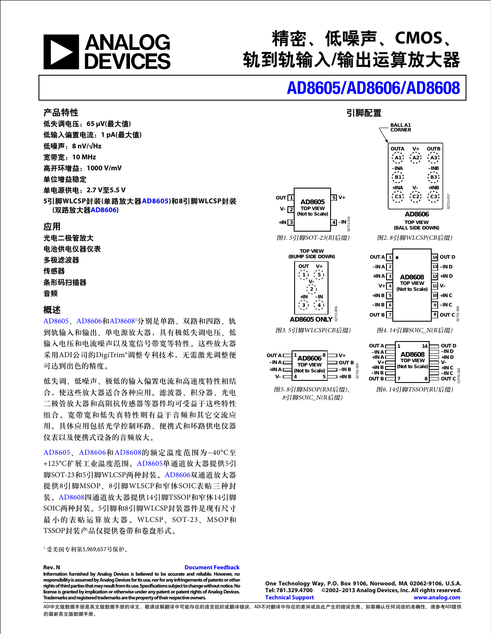

# 精密、低噪声、**CMOS**、 轨到轨输入**/**输出运算放大器

# [AD8605/](www.analog.com/zh/AD8605)[AD8606/](www.analog.com/zh/AD8606)[AD8608](www.analog.com/zh/AD8608)

**BALL A1 CORNER**

引脚配置

#### 产品特性

低失调电压:**65 μV(**最大值**)** 低输入偏置电流:**1 pA(**最大值**)** 低噪声:**8 nV/√Hz** 宽带宽:**10 MHz** 高开环增益:**1000 V/mV** 单位增益稳定 单电源供电:**2.7 V**至**5.5 V 5**引脚**WLCSP**封装**(**单路放大器**[AD8605\)](www.analog.com/zh/AD8605)**和**8**引脚**WLCSP**封装 **(**双路放大器**[AD8606\)](www.analog.com/zh/AD8606)**

#### 应用

光电二极管放大 电池供电仪器仪表 多极滤波器 传感器 条形码扫描器 音频

#### 概述

[AD8605](www.analog.com/zh/AD8605)、[AD8606](www.analog.com/zh/AD8606)和[AD8608](www.analog.com/zh/AD8608)1 分别是单路、双路和四路、轨 到轨输入和输出、单电源放大器,具有极低失调电压、低 输入电压和电流噪声以及宽信号带宽等特性。这些放大器 采用ADI公司的DigiTrim®调整专利技术,无需激光调整便 可达到出色的精度。

低失调、低噪声、极低的输入偏置电流和高速度特性相结 合,使这些放大器适合各种应用。滤波器、积分器、光电 二极管放大器和高阻抗传感器等器件均可受益于这些特性 组合。宽带宽和低失真特性则有益于音频和其它交流应 用。具体应用包括光学控制环路、便携式和环路供电仪器 仪表以及便携式设备的音频放大。

[AD8605](www.analog.com/zh/AD8605)、[AD8606](www.analog.com/zh/AD8606)和[AD8608](www.analog.com/zh/AD8608)的额定温度范围为−40°C至 +125°C扩展工业温度范围。[AD8605](www.analog.com/zh/AD8605)单通道放大器提供5引 脚SOT-23和5引脚WLCSP两种封装。[AD8606](www.analog.com/zh/AD8606)双通道放大器 提供8引脚MSOP、8引脚WLSCP和窄体SOIC表贴三种封 装。[AD8608](www.analog.com/zh/AD8608)四通道放大器提供14引脚TSSOP和窄体14引脚 SOIC两种封装。5引脚和8引脚WLCSP封装器件是现有尺寸 最小的表贴运算放大器。WLCSP、SOT-23、MSOP和 TSSOP封装产品仅提供卷带和卷盘形式。

<sup>1</sup> 受美国专利第5,969,657号保护。

#### **Rev. N Rev. N Document Feedback**

**Information furnished by Analog Devices is believed to be accurate and reliable. However, no**  responsibility is assumed by Analog Devices for its use, nor for any infringements of patents or other<br>rights of third parties that may result from its use. Specifications subject to change without notice. No **license is granted by implication or otherwise under any patent or patent rights of Analog Devices. Trademarks and registered trademarks are the property of their respective owners.** 





图5. 8引脚MSOP(RM后缀)、 8引脚SOIC\_N(R后缀)

 $\sum_{\mathbf{N}}^{\mathsf{OUT}}$  AD8606  $^8\sum_{\mathbf{N}}^{\mathsf{V+}}$ 

**4 5**

**TOP VIEW (Not to Scale)**

**OUT B**  $=$   $-$ **IN B +IN B**

02731-003

 $\frac{3}{2}$  $2731$ 

**–IN A +IN A V–**

#### **One Technology Way, P.O. Box 9106, Norwood, MA 02062-9106, U.S.A.** ©2002-2013 Analog Devices, Inc. All rights reserved. **Technical Support www.analog.com**

ADI中文版数据手册是英文版数据手册的译文,敬请谅解翻译中可能存在的语言组织或翻译错误,ADI不对翻译中存在的差异或由此产生的错误负责。如需确认任何词语的准确性,请参考ADI提供 的最新英文版数据手册。

图6. 14引脚TSSOP(RU后缀)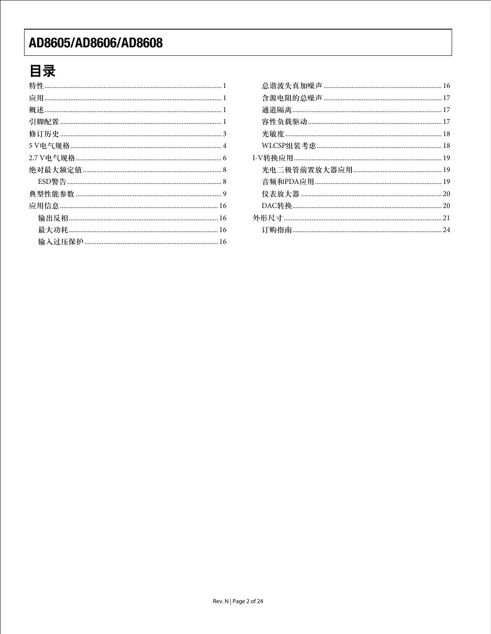# 目录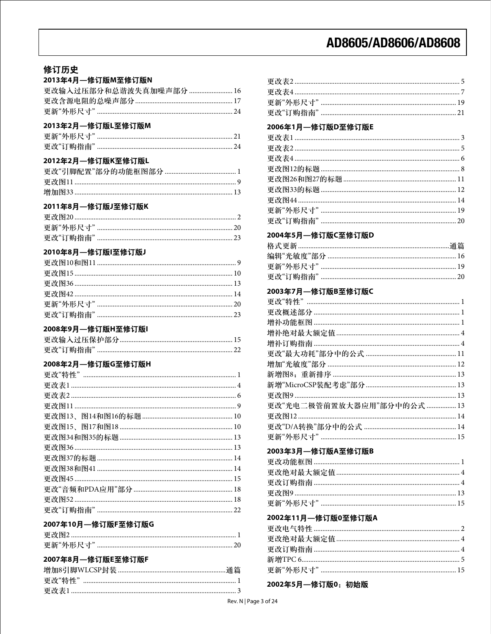#### 修订历史  $\sim$   $\sim$   $\sim$   $\sim$

| 2013年4月—修订版M至修订版N       |  |
|-------------------------|--|
| 更改输入过压部分和总谐波失真加噪声部分  16 |  |
|                         |  |
|                         |  |

#### 2013年2月––修订版L至修订版M

| 更新"外形尺寸" |  |
|----------|--|
| 更改"订购指南" |  |

#### 2012年2月––修订版K至修订版L

#### 2011年8月––修订版J至修订版K

#### 2010年8月––修订版I至修订版J

#### 2008年9月--修订版H至修订版I

### 2008年2月--修订版G至修订版H

#### 2007年10月–修订版F至修订版G

| 更新"外形尺寸" |  |
|----------|--|

### 2007年8月––修订版E至修订版F

#### 2006年1月-修订版D至修订版E

#### 2004年5月--修订版C至修订版D

### 2003年7月—修订版B至修订版C

| 更改"光电二极管前置放大器应用"部分中的公式  13 |
|----------------------------|
|                            |
|                            |
|                            |
|                            |

#### 2003年3月––修订版A至修订版B

#### 2002年11月––修订版0至修订版A

### 2002年5月 一修订版0: 初始版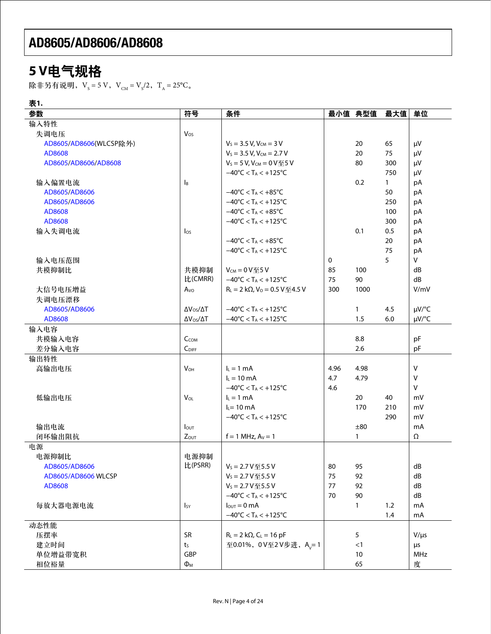# **5 V**电气规格

除非另有说明,V<sub>s</sub> = 5 V,V<sub>CM</sub> = V<sub>s</sub>/2,T<sub>A</sub> = 25°C。

表**1.**

| 参数                     | 符号                       | 条件                                                   |      | 最小值 典型值      | 最大值          | 单位        |
|------------------------|--------------------------|------------------------------------------------------|------|--------------|--------------|-----------|
| 输入特性                   |                          |                                                      |      |              |              |           |
| 失调电压                   | $V_{OS}$                 |                                                      |      |              |              |           |
| AD8605/AD8606(WLCSP除外) |                          | $V_S = 3.5 V, V_{CM} = 3 V$                          |      | 20           | 65           | μV        |
| AD8608                 |                          | $V_S = 3.5 V, V_{CM} = 2.7 V$                        |      | 20           | 75           | $\mu V$   |
| AD8605/AD8606/AD8608   |                          | $V_S = 5 V$ , $V_{CM} = 0 V 4 5 V$                   |      | 80           | 300          | $\mu V$   |
|                        |                          | $-40^{\circ}$ C < T <sub>A</sub> < +125 $^{\circ}$ C |      |              | 750          | μV        |
| 输入偏置电流                 | Iв                       |                                                      |      | 0.2          | $\mathbf{1}$ | pA        |
| AD8605/AD8606          |                          | $-40^{\circ}$ C < T <sub>A</sub> < $+85^{\circ}$ C   |      |              | 50           | pA        |
| AD8605/AD8606          |                          | $-40^{\circ}$ C < T <sub>A</sub> < $+125^{\circ}$ C  |      |              | 250          | pA        |
| AD8608                 |                          | $-40^{\circ}$ C < T <sub>A</sub> < $+85^{\circ}$ C   |      |              | 100          | pA        |
| AD8608                 |                          | $-40^{\circ}$ C < T <sub>A</sub> < $+125^{\circ}$ C  |      |              | 300          | pA        |
| 输入失调电流                 | $I_{OS}$                 |                                                      |      | 0.1          | 0.5          | pA        |
|                        |                          | $-40^{\circ}$ C < T <sub>A</sub> < $+85^{\circ}$ C   |      |              | 20           | pA        |
|                        |                          | $-40^{\circ}$ C < T <sub>A</sub> < $+125^{\circ}$ C  |      |              | 75           | pA        |
| 输入电压范围                 |                          |                                                      | 0    |              | 5            | V         |
| 共模抑制比                  | 共模抑制                     | $V_{CM} = 0 V 45 V$                                  | 85   | 100          |              | dB        |
|                        | 比(CMRR)                  | $-40^{\circ}$ C < T <sub>A</sub> < $+125^{\circ}$ C  | 75   | 90           |              | dB        |
| 大信号电压增益                | A <sub>vo</sub>          | $R_L = 2 k\Omega$ , $V_0 = 0.5 V \le 4.5 V$          | 300  | 1000         |              | V/mV      |
| 失调电压漂移                 |                          |                                                      |      |              |              |           |
| AD8605/AD8606          | $\Delta V_{OS}/\Delta T$ | $-40^{\circ}$ C < T <sub>A</sub> < $+125^{\circ}$ C  |      | $\mathbf{1}$ | 4.5          | µV/°C     |
| AD8608                 | $\Delta V_{OS}/\Delta T$ | $-40^{\circ}$ C < T <sub>A</sub> < $+125^{\circ}$ C  |      | 1.5          | 6.0          | µV/°C     |
| 输入电容                   |                          |                                                      |      |              |              |           |
| 共模输入电容                 | CCOM                     |                                                      |      | 8.8          |              | pF        |
| 差分输入电容                 | $C_{\text{DIFF}}$        |                                                      |      | 2.6          |              | pF        |
| 输出特性                   |                          |                                                      |      |              |              |           |
| 高输出电压                  | $V_{OH}$                 | $I_L = 1$ mA                                         | 4.96 | 4.98         |              | v         |
|                        |                          | $I_L = 10$ mA                                        | 4.7  | 4.79         |              | v         |
|                        |                          | $-40^{\circ}$ C < T <sub>A</sub> < $+125^{\circ}$ C  | 4.6  |              |              | v         |
|                        | VOL                      | $I_L = 1$ mA                                         |      | 20           | 40           |           |
| 低输出电压                  |                          | $IL = 10$ mA                                         |      | 170          | 210          | mV<br>mV  |
|                        |                          |                                                      |      |              |              |           |
|                        |                          | $-40^{\circ}$ C < T <sub>A</sub> < $+125^{\circ}$ C  |      |              | 290          | mV        |
| 输出电流                   | $I_{\text{OUT}}$         |                                                      |      | ±80          |              | mA        |
| 闭环输出阻抗                 | Zout                     | $f = 1$ MHz, $Av = 1$                                |      | $\mathbf{1}$ |              | Ω         |
| 电源                     |                          |                                                      |      |              |              |           |
| 电源抑制比                  | 电源抑制                     |                                                      |      |              |              |           |
| AD8605/AD8606          | 比(PSRR)                  | $V_s = 2.7 V  \times 5.5 V$                          | 80   | 95           |              | dB        |
| AD8605/AD8606 WLCSP    |                          | $V_s = 2.7 V \times 5.5 V$                           | 75   | 92           |              | dB        |
| AD8608                 |                          | $V_s = 2.7 V  5.5 V$                                 | 77   | 92           |              | dB        |
|                        |                          | $-40^{\circ}$ C < T <sub>A</sub> < $+125^{\circ}$ C  | 70   | 90           |              | dB        |
| 每放大器电源电流               | $I_{SY}$                 | $I_{\text{OUT}} = 0 \text{ mA}$                      |      | 1            | 1.2          | mA        |
|                        |                          | $-40^{\circ}$ C < T <sub>A</sub> < $+125^{\circ}$ C  |      |              | 1.4          | mA        |
| 动态性能                   |                          |                                                      |      |              |              |           |
| 压摆率                    | <b>SR</b>                | $R_L = 2 k\Omega$ , $C_L = 16 pF$                    |      | 5            |              | $V/\mu s$ |
| 建立时间                   | t <sub>S</sub>           | 至0.01%, 0V至2V步进, A <sub>v</sub> =1                   |      | <1           |              | μs        |
| 单位增益带宽积                | GBP                      |                                                      |      | 10           |              | MHz       |
| 相位裕量                   | $\Phi_{\text{M}}$        |                                                      |      | 65           |              | 度         |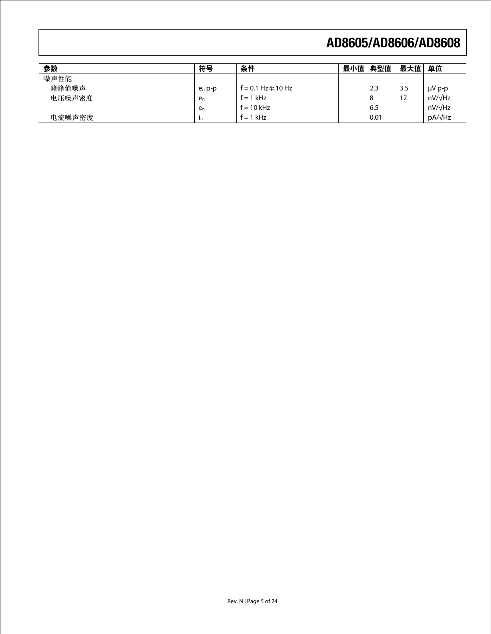| 参数     | 符号        | 条件                       | 最小值 | 典型值  | 最大值 | 单位             |
|--------|-----------|--------------------------|-----|------|-----|----------------|
| 噪声性能   |           |                          |     |      |     |                |
| 峰峰值噪声  | $e_n$ p-p | f = $0.1$ Hz $\mp$ 10 Hz |     | 2.3  | 3.5 | $\mu V$ p-p    |
| 电压噪声密度 | en        | $f = 1$ kHz              |     | 8    | 12  | $nV/\sqrt{Hz}$ |
|        | en        | $f = 10$ kHz             |     | 6.5  |     | $nV/\sqrt{Hz}$ |
| 电流噪声密度 | -In       | $f = 1$ kHz              |     | 0.01 |     | $pA/\sqrt{Hz}$ |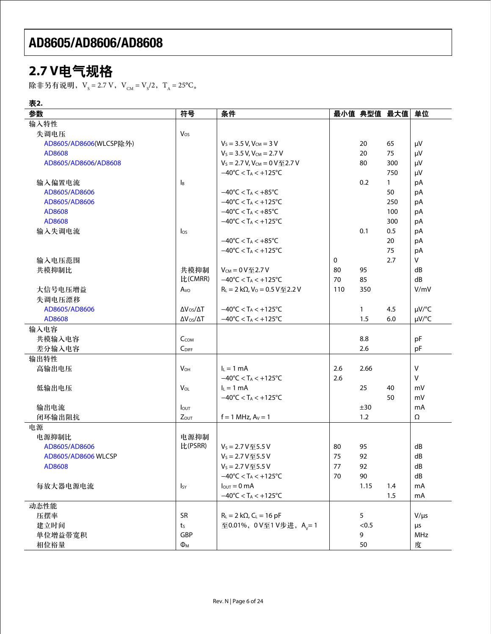# **2.7 V**电气规格

除非另有说明,V<sub>s</sub> = 2.7 V,V<sub>CM</sub> = V<sub>s</sub>/2,T<sub>A</sub> = 25°C。

| 表2.                    |                           |                                                     |     |              |              |                |
|------------------------|---------------------------|-----------------------------------------------------|-----|--------------|--------------|----------------|
| 参数                     | 符号                        | 条件                                                  |     |              | 最小值 典型值 最大值  | 单位             |
| 输入特性                   |                           |                                                     |     |              |              |                |
| 失调电压                   | $V_{OS}$                  |                                                     |     |              |              |                |
| AD8605/AD8606(WLCSP除外) |                           | $V_S = 3.5 V, V_{CM} = 3 V$                         |     | 20           | 65           | μV             |
| AD8608                 |                           | $V_S = 3.5$ V, $V_{CM} = 2.7$ V                     |     | 20           | 75           | μV             |
| AD8605/AD8606/AD8608   |                           | $V_S = 2.7 V, V_{CM} = 0 V \& 2.7 V$                |     | 80           | 300          | μV             |
|                        |                           | $-40^{\circ}$ C < T <sub>A</sub> < $+125^{\circ}$ C |     |              | 750          | μV             |
| 输入偏置电流                 | $\mathsf{I}_{\mathsf{B}}$ |                                                     |     | 0.2          | $\mathbf{1}$ | pA             |
| AD8605/AD8606          |                           | $-40^{\circ}$ C < T <sub>A</sub> < $+85^{\circ}$ C  |     |              | 50           | pA             |
| AD8605/AD8606          |                           | $-40^{\circ}$ C < T <sub>A</sub> < $+125^{\circ}$ C |     |              | 250          | pA             |
| AD8608                 |                           | $-40^{\circ}$ C < T <sub>A</sub> < $+85^{\circ}$ C  |     |              | 100          | pA             |
| AD8608                 |                           | $-40^{\circ}$ C < T <sub>A</sub> < $+125^{\circ}$ C |     |              | 300          | pA             |
| 输入失调电流                 | $\log$                    |                                                     |     | 0.1          | 0.5          | pA             |
|                        |                           | $-40^{\circ}$ C < T <sub>A</sub> < $+85^{\circ}$ C  |     |              | 20           | pA             |
|                        |                           | $-40^{\circ}$ C < T <sub>A</sub> < $+125^{\circ}$ C |     |              | 75           | pA             |
| 输入电压范围                 |                           |                                                     | 0   |              | 2.7          | $\mathsf{V}$   |
| 共模抑制比                  | 共模抑制                      | $V_{CM} = 0 V 2.7 V$                                | 80  | 95           |              | dB             |
|                        | 比(CMRR)                   | $-40^{\circ}$ C < T <sub>A</sub> < $+125^{\circ}$ C | 70  | 85           |              | dB             |
| 大信号电压增益                | Avo                       | $R_L = 2 k\Omega$ , $V_0 = 0.5 V \le 2.2 V$         | 110 | 350          |              | V/mV           |
| 失调电压漂移                 |                           |                                                     |     |              |              |                |
| AD8605/AD8606          | $\Delta V_{OS}/\Delta T$  | $-40^{\circ}$ C < T <sub>A</sub> < $+125^{\circ}$ C |     | $\mathbf{1}$ | 4.5          | $\mu V$ /°C    |
| AD8608                 | $\Delta V_{OS}/\Delta T$  | $-40^{\circ}$ C < T <sub>A</sub> < $+125^{\circ}$ C |     | 1.5          | 6.0          | $\mu V$ /°C    |
| 输入电容                   |                           |                                                     |     |              |              |                |
| 共模输入电容                 | CCOM                      |                                                     |     | 8.8          |              | pF             |
| 差分输入电容                 | $C_{\text{DIFF}}$         |                                                     |     | 2.6          |              | pF             |
| 输出特性                   |                           |                                                     |     |              |              |                |
| 高输出电压                  | $V_{OH}$                  | $I_L = 1$ mA                                        | 2.6 | 2.66         |              | $\vee$         |
|                        |                           | $-40^{\circ}$ C < T <sub>A</sub> < $+125^{\circ}$ C | 2.6 |              |              | $\vee$         |
| 低输出电压                  | $V_{OL}$                  | $I_L = 1$ mA                                        |     | 25           | 40           | mV             |
|                        |                           | $-40^{\circ}$ C < T <sub>A</sub> < $+125^{\circ}$ C |     |              | 50           | mV             |
| 输出电流                   | $I_{\text{OUT}}$          |                                                     |     | ±30          |              | mA             |
| 闭环输出阻抗                 | $Z_{OUT}$                 | $f = 1$ MHz, $A_v = 1$                              |     | 1.2          |              | Ω              |
| 电源                     |                           |                                                     |     |              |              |                |
| 电源抑制比                  | 电源抑制                      |                                                     |     |              |              |                |
| AD8605/AD8606          | 比(PSRR)                   | $V_s = 2.7 V 45.5 V$                                | 80  | 95           |              | dB             |
| AD8605/AD8606 WLCSP    |                           | $V_s = 2.7 V  \ 5.5 V$                              | 75  | 92           |              | ${\sf dB}$     |
| AD8608                 |                           | $V_s = 2.7 V \le 5.5 V$                             | 77  | 92           |              | dB             |
|                        |                           | $-40^{\circ}$ C < T <sub>A</sub> < $+125^{\circ}$ C | 70  | 90           |              | ${\sf dB}$     |
|                        |                           | $I_{\text{OUT}} = 0 \text{ mA}$                     |     |              |              |                |
| 每放大器电源电流               | <b>I</b> sy               | $-40^{\circ}$ C < T <sub>A</sub> < $+125^{\circ}$ C |     | 1.15         | 1.4<br>1.5   | mA             |
|                        |                           |                                                     |     |              |              | mA             |
| 动态性能                   | <b>SR</b>                 | $R_L = 2 k\Omega$ , $C_L = 16 pF$                   |     | 5            |              | $V/\mu s$      |
| 压摆率                    |                           |                                                     |     |              |              |                |
| 建立时间                   | ts<br>GBP                 | 至0.01%, 0V至1V步进, A <sub>v</sub> =1                  |     | < 0.5        |              | $\mu$ s<br>MHz |
| 单位增益带宽积                |                           |                                                     |     | 9            |              |                |
| 相位裕量                   | $\Phi_{\text{M}}$         |                                                     |     | 50           |              | 度              |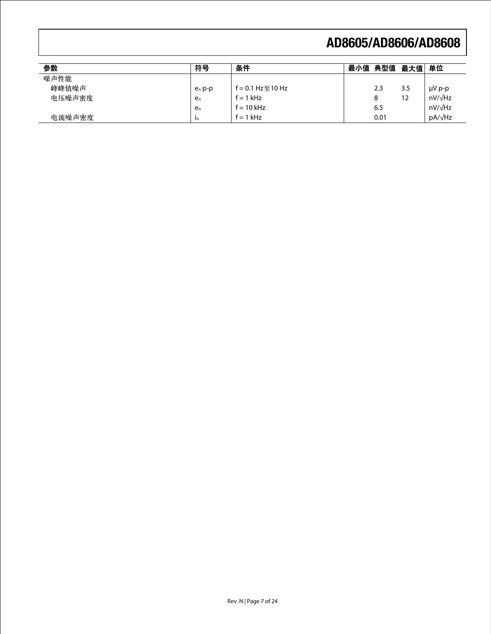| 参数     | 符号        | 条件               | 最小值 | 典型值  | 最大值 | 单位             |
|--------|-----------|------------------|-----|------|-----|----------------|
| 噪声性能   |           |                  |     |      |     |                |
| 峰峰值噪声  | $e_n p-p$ | f = 0.1 Hz至10 Hz |     | 2.3  | 3.5 | $\mu V$ p-p    |
| 电压噪声密度 | en        | $f = 1$ kHz      |     | 8    | 12  | $nV/\sqrt{Hz}$ |
|        | en        | $f = 10$ kHz     |     | 6.5  |     | $nV/\sqrt{Hz}$ |
| 电流噪声密度 | In.       | $f = 1$ kHz      |     | 0.01 |     | $pA/\sqrt{Hz}$ |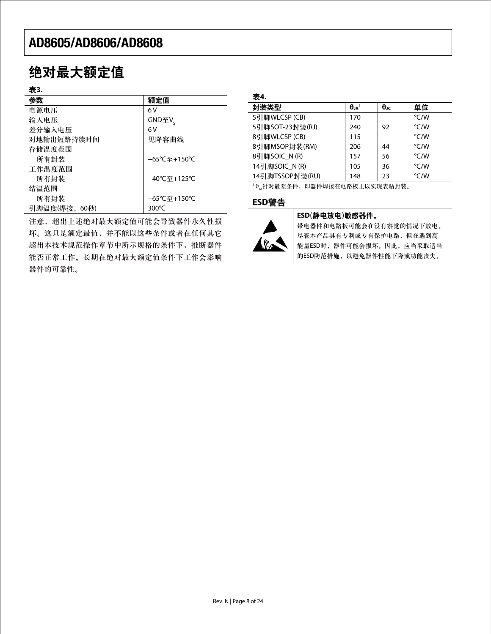# 绝对最大额定值

### 表**3.**

| 参数           | 额定值             |
|--------------|-----------------|
| 电源电压         | 6 V             |
| 输入电压         | GND至V。          |
| 差分输入电压       | 6 V             |
| 对地输出短路持续时间   | 见降容曲线           |
| 存储温度范围       |                 |
| 所有封装         | –65℃至+150℃      |
| 工作温度范围       |                 |
| 所有封装         | –40℃至+125℃      |
| 结温范围         |                 |
| 所有封装         | –65℃至+150℃      |
| 引脚温度(焊接,60秒) | 300 $\degree$ C |
|              |                 |

注意,超出上述绝对最大额定值可能会导致器件永久性损 坏。这只是额定最值,并不能以这些条件或者在任何其它 超出本技术规范操作章节中所示规格的条件下,推断器件 能否正常工作。长期在绝对最大额定值条件下工作会影响 器件的可靠性。

| 封装类型            | $\theta_{JA}$ <sup>1</sup> | $\theta_{\text{JC}}$ | 单位   |
|-----------------|----------------------------|----------------------|------|
| 5引脚WLCSP (CB)   | 170                        |                      | °C/W |
| 5引脚SOT-23封装(RJ) | 240                        | 92                   | °C/W |
| 8引脚WLCSP (CB)   | 115                        |                      | °C/W |
| 8引脚MSOP封装(RM)   | 206                        | 44                   | °C/W |
| 8引脚SOIC_N(R)    | 157                        | 56                   | °C/W |
| 14引脚SOIC N(R)   | 105                        | 36                   | °C/W |
| 14引脚TSSOP封装(RU) | 148                        | 23                   | °C/W |

 $^{-1}$  $\theta_{\mu}$ 针对最差条件,即器件焊接在电路板上以实现表贴封装。

### **ESD**警告



### **ESD**(静电放电)敏感器件。

带电器件和电路板可能会在没有察觉的情况下放电。 尽管本产品具有专利或专有保护电路,但在遇到高 能量ESD时,器件可能会损坏。因此,应当采取适当 的ESD防范措施,以避免器件性能下降或功能丧失。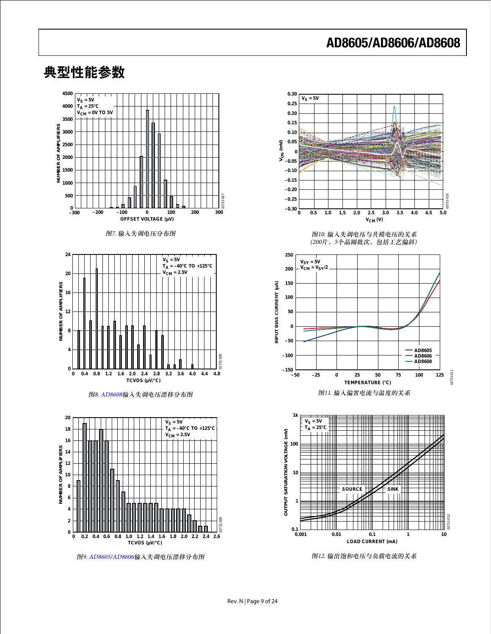

典型性能参数

图9. [AD8605/](www.analog.com/zh/AD8605)[AD8606](www.analog.com/zh/AD8606)输入失调电压漂移分布图



图12. 输出饱和电压与负载电流的关系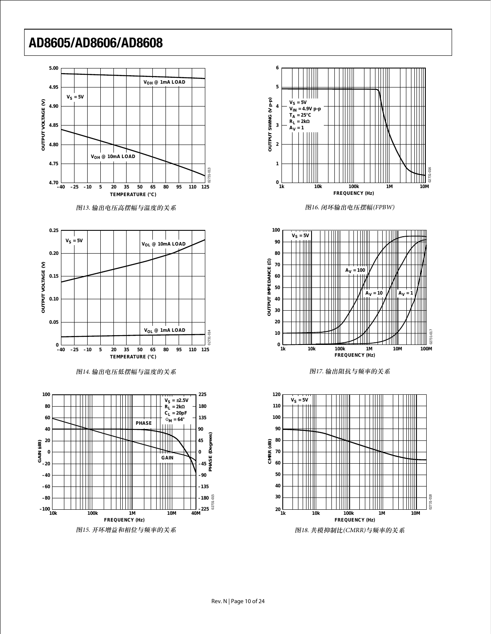

















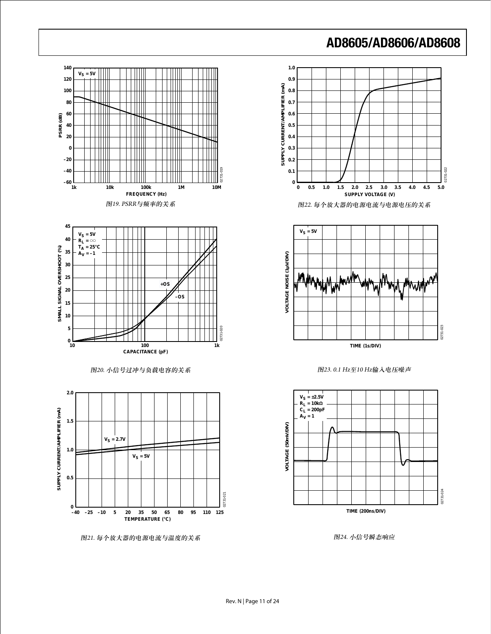

02731-022

02731-022

02731-023

 $023$ 

02731-024

02731-024



图24. 小信号瞬态响应

图21. 每个放大器的电源电流与温度的关系

Rev. N | Page 11 of 24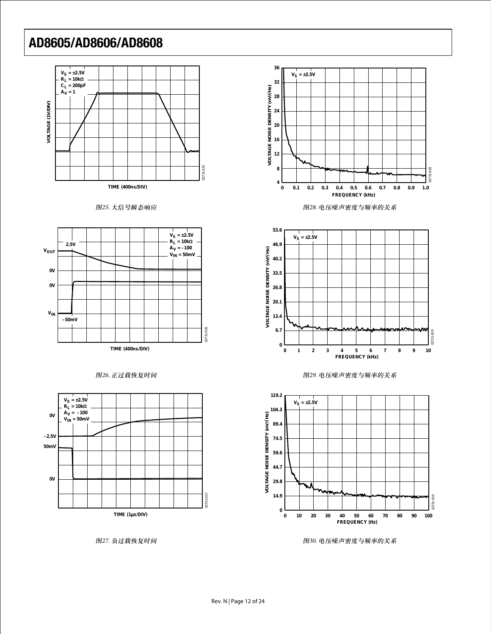









图27. 负过载恢复时间



图28. 电压噪声密度与频率的关系







图30. 电压噪声密度与频率的关系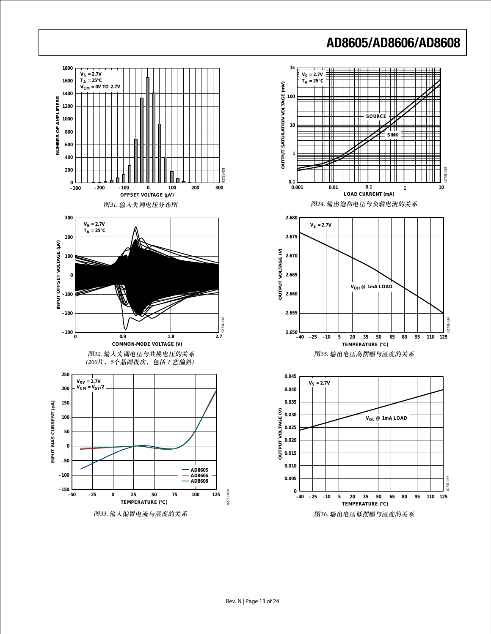

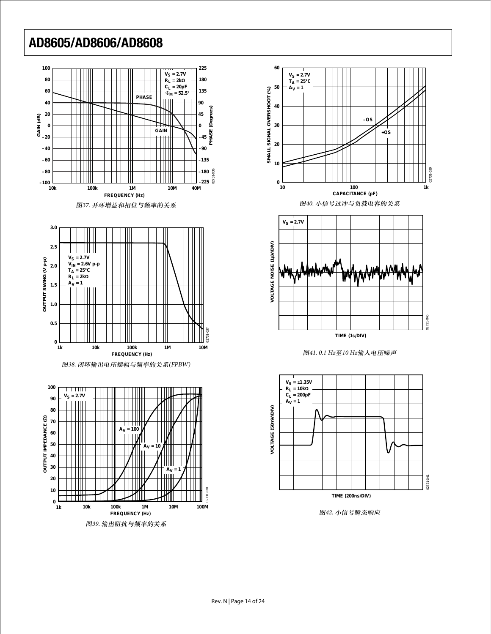



图38. 闭环输出电压摆幅与频率的关系(FPBW)











图42. 小信号瞬态响应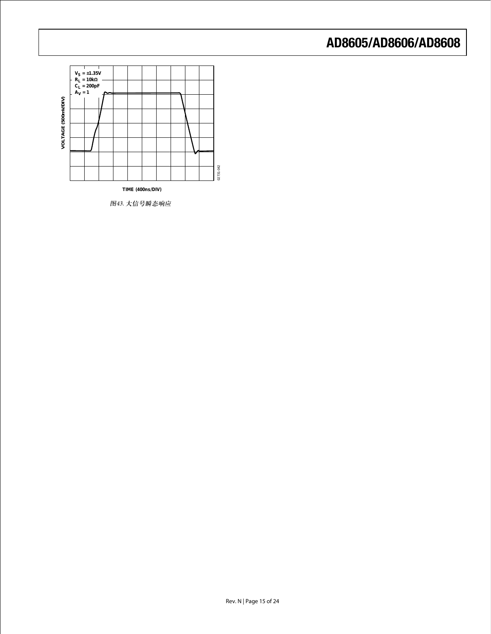

图43. 大信号瞬态响应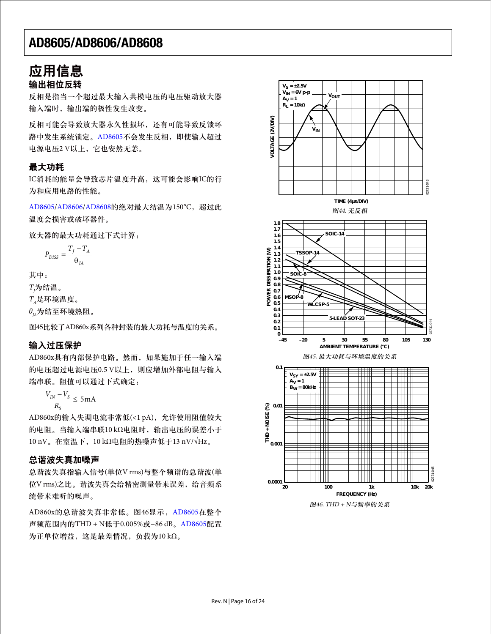### 应用信息 输出相位反转

反相是指当一个超过最大输入共模电压的电压驱动放大器 输入端时,输出端的极性发生改变。

反相可能会导致放大器永久性损坏,还有可能导致反馈环 路中发生系统锁定。[AD8605](www.analog.com/zh/AD8605)不会发生反相,即使输入超过 电源电压2 V以上,它也安然无恙。

### 最大功耗

IC消耗的能量会导致芯片温度升高,这可能会影响IC的行 为和应用电路的性能。

[AD8605](www.analog.com/zh/AD8605)[/AD8606/](www.analog.com/zh/AD8606)[AD8608](www.analog.com/zh/AD8608)的绝对最大结温为150℃, 超过此 温度会损害或破坏器件。

放大器的最大功耗通过下式计算:

$$
P_{DISS} = \frac{T_J - T_A}{\theta_{JA}}
$$

其中:

 $T_{\rm \scriptscriptstyle J}$ 为结温。

*TA*是环境温度。

 $θ$ <sub>ω</sub>为结至环境热阻。

图45比较了AD860x系列各种封装的最大功耗与温度的关系。

### 输入过压保护

AD860x具有内部保护电路。然而,如果施加于任一输入端 的电压超过电源电压0.5 V以上,则应增加外部电阻与输入 端串联。阻值可以通过下式确定:

 $\frac{V_{IN} - V_{S}}{P} \leq 5 \text{ mA}$ *S R*

AD860x的输入失调电流非常低(<1 pA), 允许使用阻值较大 的电阻。当输入端串联10 kΩ电阻时,输出电压的误差小于 10 nV。在室温下,10 kΩ电阻的热噪声低于13 nV/√Hz。

### 总谐波失真加噪声

总谐波失真指输入信号(单位V rms)与整个频谱的总谐波(单 位V rms)之比。谐波失真会给精密测量带来误差,给音频系 统带来难听的噪声。

AD860x的总谐波失真非常低。图46显示,[AD8605](www.analog.com/zh/AD8605)在整个 声频范围内的THD + N低于0.005%或−86 dB。[AD8605](www.analog.com/zh/AD8605)配置 为正单位增益,这是最差情况,负载为10 kΩ。



图46. THD + N与频率的关系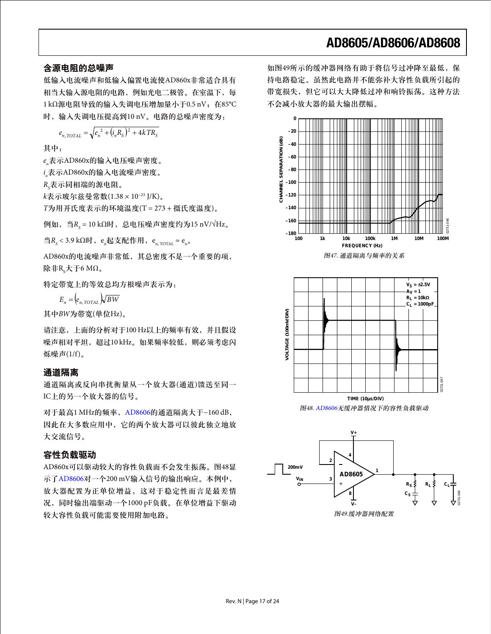### 含源电阻的总噪声

低输入电流噪声和低输入偏置电流使AD860x非常适合具有 相当大输入源电阻的电路,例如光电二极管。在室温下,每 1kΩ源电阻导致的输入失调电压增加量小于0.5 nV; 在85°C 时,输入失调电压提高到10 nV。电路的总噪声密度为:

$$
e_{n, TOTAL} = \sqrt{e_n^2 + (i_n R_S)^2 + 4kTR_S}
$$

其中:

*en* 表示AD860x的输入电压噪声密度。

*i n* 表示AD860x的输入电流噪声密度。

 $R_{\mathcal{\bar{S}}}$ 表示同相端的源电阻。

*k*表示玻尔兹曼常数(1.38 × 10−23 J/K)。

*T*为用开氏度表示的环境温度(T = 273 + 摄氏度温度)。

例如,当*RS* = 10 kΩ时,总电压噪声密度约为15 nV/√Hz。

当 $R_s$ < 3.9 kΩ时,e<sub>n</sub>起支配作用,e<sub>n, TOTAL</sub> ≈ e<sub>n</sub>。

AD860x的电流噪声非常低,其总密度不是一个重要的项, 除非R<sub>s</sub>大于6 MΩ。

特定带宽上的等效总均方根噪声表示为:

 $E_n = (e_{n, TOTAL}) \sqrt{BW}$ 

其中*BW*为带宽(单位Hz)。

请注意,上面的分析对于100 Hz以上的频率有效,并且假设 噪声相对平坦,超过10 kHz。如果频率较低,则必须考虑闪 烁噪声(1/f)。

### 通道隔离

通道隔离或反向串扰衡量从一个放大器(通道)馈送至同一 IC上的另一个放大器的信号。

对于最高1 MHz的频率, [AD8606](www.analog.com/zh/AD8606)的通道隔离大于−160 dB, 因此在大多数应用中,它的两个放大器可以彼此独立地放 大交流信号。

### 容性负载驱动

AD860x可以驱动较大的容性负载而不会发生振荡。图48显 示了[AD8606](www.analog.com/zh/AD8606)对一个200 mV输入信号的输出响应。本例中, 放大器配置为正单位增益,这对于稳定性而言是最差情 况,同时输出端驱动一个1000 pF负载。在单位增益下驱动 较大容性负载可能需要使用附加电路。

如图49所示的缓冲器网络有助于将信号过冲降至最低,保 持电路稳定。虽然此电路并不能弥补大容性负载所引起的 带宽损失,但它可以大大降低过冲和响铃振荡。这种方法 不会减小放大器的最大输出摆幅。



图48. [AD8606](www.analog.com/zh/AD8606)无缓冲器情况下的容性负载驱动

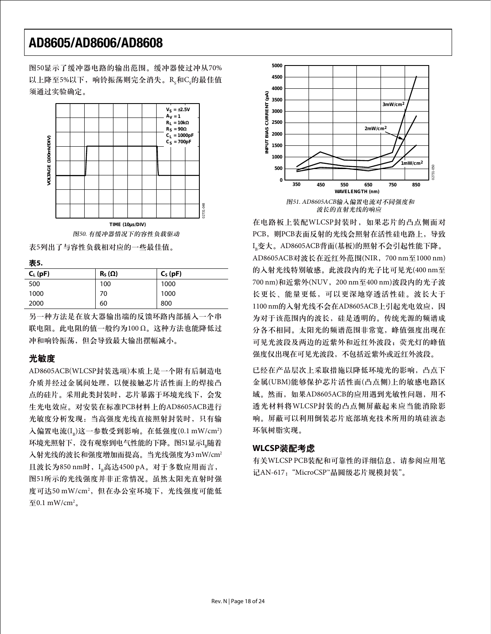图50显示了缓冲器电路的输出范围。缓冲器使过冲从70% 以上降至5%以下,响铃振荡则完全消失。R $_{\rm s}$ 和C $_{\rm s}$ 的最佳值 须通过实验确定。



图50. 有缓冲器情况下的容性负载驱动

表5列出了与容性负载相对应的一些最佳值。

#### 表**5.**

| - -          |               |           |
|--------------|---------------|-----------|
| $C_{L}$ (pF) | $R_S(\Omega)$ | $CS$ (pF) |
| 500          | 100           | 1000      |
| 1000         | 70            | 1000      |
| 2000         | 60            | 800       |

另一种方法是在放大器输出端的反馈环路内部插入一个串 联电阻。此电阻的值一般约为100 Ω。这种方法也能降低过 冲和响铃振荡,但会导致最大输出摆幅减小。

### 光敏度

AD8605ACB(WLCSP封装选项)本质上是一个附有后制造电 介质并经过金属间处理,以便接触芯片活性面上的焊接凸 点的硅片。采用此类封装时,芯片暴露于环境光线下,会发 生光电效应。对安装在标准PCB材料上的AD8605ACB进行 光敏度分析发现:当高强度光线直接照射封装时,只有输 人偏置电流(I<sub>B</sub>)这一参数受到影响。在低强度(0.1 mW/cm<sup>2</sup>) 环境光照射下,没有观察到电气性能的下降。图51显示I B 随着 入射光线的波长和强度增加而提高。当光线强度为3mW/cm<sup>2</sup> 且波长为850 nm时, I。高达4500 pA。对于多数应用而言, 图51所示的光线强度并非正常情况。虽然太阳光直射时强 度可达50 mW/cm<sup>2</sup>,但在办公室环境下,光线强度可能低 至 $0.1 \text{ mW/cm}^2$ 。



波长的直射光线的响应

在电路板上装配WLCSP封装时,如果芯片的凸点侧面对 PCB, 则PCB表面反射的光线会照射在活性硅电路上, 导致 I <sup>B</sup>变大。AD8605ACB背面(基板)的照射不会引起性能下降。 AD8605ACB对波长在近红外范围(NIR,700 nm至1000 nm) 的入射光线特别敏感。此波段内的光子比可见光(400 nm至 700 nm)和近紫外(NUV,200 nm至400 nm)波段内的光子波 长更长、能量更低,可以更深地穿透活性硅。波长大于 1100 nm的入射光线不会在AD8605ACB上引起光电效应,因 为对于该范围内的波长,硅是透明的。传统光源的频谱成 分各不相同。太阳光的频谱范围非常宽,峰值强度出现在 可见光波段及两边的近紫外和近红外波段;荧光灯的峰值 强度仅出现在可见光波段,不包括近紫外或近红外波段。

已经在产品层次上采取措施以降低环境光的影响,凸点下 金属(UBM)能够保护芯片活性面(凸点侧)上的敏感电路区 域。然而,如果AD8605ACB的应用遇到光敏性问题,用不 透光材料将WLCSP封装的凸点侧屏蔽起来应当能消除影 响。屏蔽可以利用倒装芯片底部填充技术所用的填硅液态 环氧树脂实现。

### **WLCSP**装配考虑

有关WLCSP PCB装配和可靠性的详细信息,请参阅应用笔 记AN-617: "MicroCSP™晶圆级芯片规模封装"。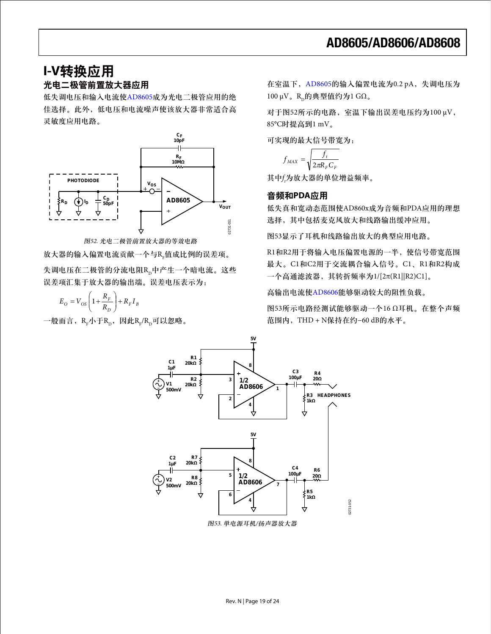### **I-V**转换应用 光电二极管前置放大器应用

低失调电压和输入电流使[AD8605](www.analog.com/zh/AD8605)成为光电二极管应用的绝 佳选择。此外,低电压和电流噪声使该放大器非常适合高 灵敏度应用电路。



图52. 光电二极管前置放大器的等效电路

放大器的输入偏置电流贡献一个与R<sub>F</sub>值成比例的误差项。

失调电压在二极管的分流电阻R、中产生一个暗电流。这些 误差项汇集于放大器的输出端。误差电压表示为:

$$
E_O = V_{OS} \left( 1 + \frac{R_F}{R_D} \right) + R_F I_B
$$

一般而言,R-小于R<sub>p</sub>,因此R-/R<sub>p</sub>可以忽略。

在室温下, [AD8605](www.analog.com/zh/AD8605)的输入偏置电流为0.2 pA, 失调电压为  $100 \mu V$ 。R<sub>p</sub>的典型值约为1 GΩ。

对于图52所示的电路,室温下输出误差电压约为100 μV, 85°C时提高到1 mV。

可实现的最大信号带宽为:

$$
f_{MAX} = \sqrt{\frac{f_t}{2\pi R_F C_F}}
$$

其中*f t* 为放大器的单位增益频率。

#### 音频和**PDA**应用

低失真和宽动态范围使AD860x成为音频和PDA应用的理想 选择,其中包括麦克风放大和线路输出缓冲应用。

图53显示了耳机和线路输出放大的典型应用电路。

R1和R2用于将输入电压偏置电源的一半,使信号带宽范围 最大。C1和C2用于交流耦合输入信号。C1、R1和R2构成 一个高通滤波器,其转折频率为1/[2π(R1||R2)C1]。

高输出电流使[AD8606](www.analog.com/zh/AD8606)能够驱动较大的阻性负载。

图53所示电路经测试能够驱动一个16 Ω耳机。在整个声频 范围内,THD + N保持在约−60 dB的水平。



图53. 单电源耳机/扬声器放大器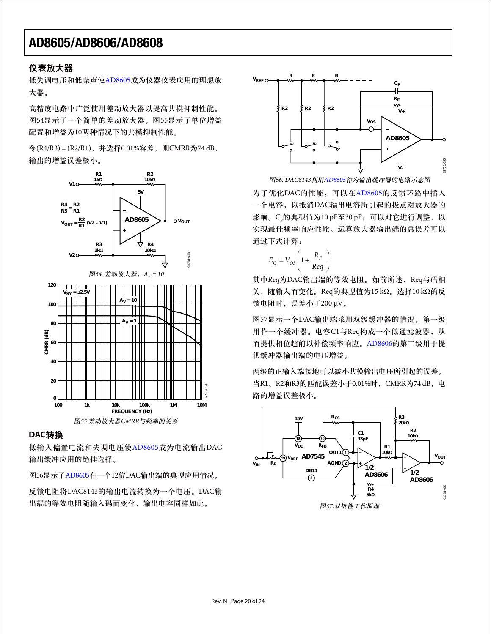### 仪表放大器

低失调电压和低噪声使[AD8605](www.analog.com/zh/AD8605)成为仪器仪表应用的理想放 大器。

高精度电路中广泛使用差动放大器以提高共模抑制性能。 图54显示了一个简单的差动放大器。图55显示了单位增益 配置和增益为10两种情况下的共模抑制性能。

令(R4/R3) = (R2/R1),并选择0.01%容差,则CMRR为74 dB, 输出的增益误差极小。



### **DAC**转换

低输入偏置电流和失调电压使[AD8605](www.analog.com/zh/AD8605)成为电流输出DAC 输出缓冲应用的绝佳选择。

图56显示了[AD8605](www.analog.com/zh/AD8605)在一个12位DAC输出端的典型应用情况。

反馈电阻将DAC8143的输出电流转换为一个电压。DAC输 出端的等效电阻随输入码而变化,输出电容同样如此。



图56. DAC8143利用[AD8605](www.analog.com/zh/AD8605)作为输出缓冲器的电路示意图

为了优化DAC的性能,可以在[AD8605](www.analog.com/zh/AD8605)的反馈环路中插入 一个电容,以抵消DAC输出电容所引起的极点对放大器的 影响。C $_{\mathrm{p}}$ 的典型值为10 pF至30 pF,可以对它进行调整,以 实现最佳频率响应性能。运算放大器输出端的总误差可以 通过下式计算:

$$
E_O = V_{OS} \left( 1 + \frac{R_F}{Req} \right)
$$

其中Req为DAC输出端的等效电阻。如前所述, Req与码相 关,随输入而变化。Req的典型值为15 kΩ。选择10 kΩ的反 馈电阻时,误差小于200 μV。

图57显示一个DAC输出端采用双级缓冲器的情况。第一级 用作一个缓冲器。电容C1与Req构成一个低通滤波器,从 而提供相位超前以补偿频率响应。[AD8606](www.analog.com/zh/AD8606)的第二级用于提 供缓冲器输出端的电压增益。

两级的正输入端接地可以减小共模输出电压所引起的误差。 当R1、R2和R3的匹配误差小于0.01%时, CMRR为74 dB, 电 路的增益误差极小。

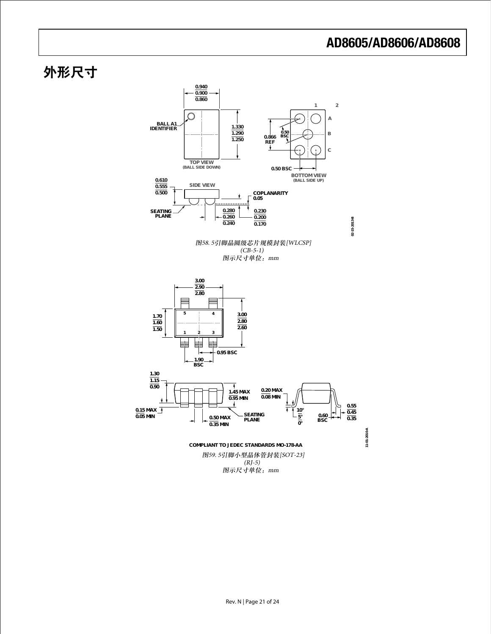# 外形尺寸

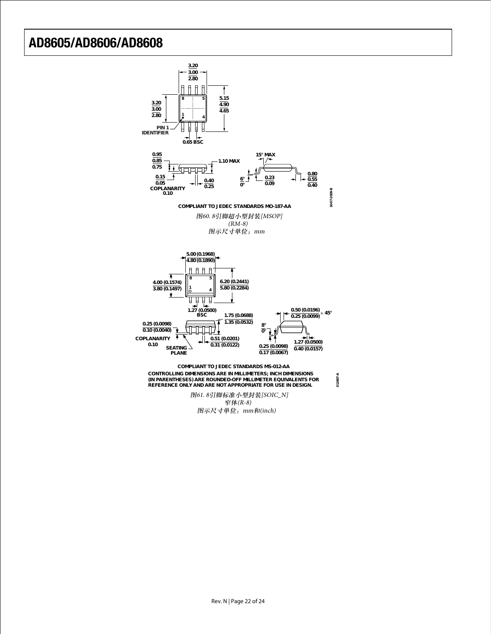

图示尺寸单位:mm和(inch)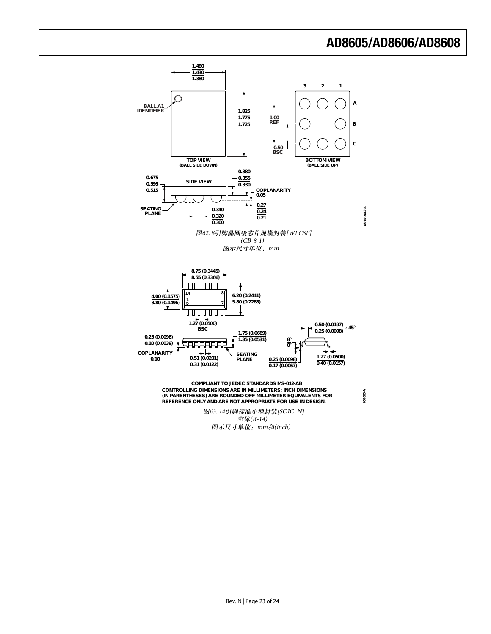

图示尺寸单位:mm和(inch)